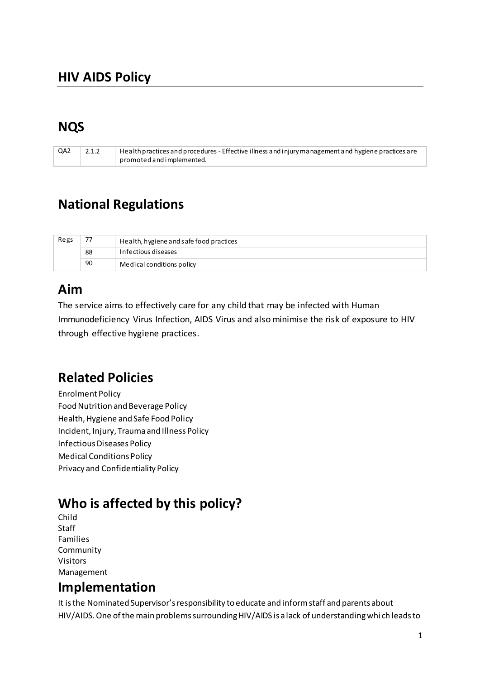### **NQS**

| QA2 | Health practices and procedures - Effective illness and injury management and hygiene practices are |
|-----|-----------------------------------------------------------------------------------------------------|
|     | promoted and implemented.                                                                           |

## **National Regulations**

| Regs | $- -$ | Health, hygiene and safe food practices |
|------|-------|-----------------------------------------|
|      | 88    | Infectious diseases                     |
|      | 90    | Medical conditions policy               |

## Aim

The service aims to effectively care for any child that may be infected with Human Immunodeficiency Virus Infection, AIDS Virus and also minimise the risk of exposure to HIV through effective hygiene practices.

# **Related Policies**

**Enrolment Policy** Food Nutrition and Beverage Policy Health, Hygiene and Safe Food Policy Incident, Injury, Trauma and Illness Policy Infectious Diseases Policy **Medical Conditions Policy** Privacy and Confidentiality Policy

# Who is affected by this policy?

Child **Staff** Families Community **Visitors** Management

#### Implementation

It is the Nominated Supervisor's responsibility to educate and inform staff and parents about HIV/AIDS. One of the main problems surrounding HIV/AIDS is a lack of understanding which leads to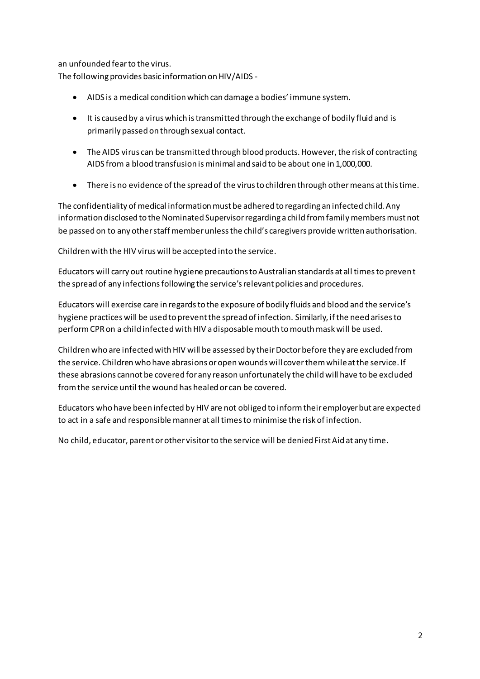an unfounded fear to the virus.

The following provides basic information on HIV/AIDS -

- AIDS is a medical condition which can damage a bodies' immune system.  $\bullet$
- It is caused by a virus which is transmitted through the exchange of bodily fluid and is primarily passed on through sexual contact.
- The AIDS virus can be transmitted through blood products. However, the risk of contracting AIDS from a blood transfusion is minimal and said to be about one in 1,000,000.
- There is no evidence of the spread of the virus to children through other means at this time.

The confidentiality of medical information must be adhered to regarding an infected child. Any information disclosed to the Nominated Supervisor regarding a child from family members must not be passed on to any other staff member unless the child's caregivers provide written authorisation.

Children with the HIV virus will be accepted into the service.

Educators will carry out routine hygiene precautions to Australian standards at all times to prevent the spread of any infections following the service's relevant policies and procedures.

Educators will exercise care in regards to the exposure of bodily fluids and blood and the service's hygiene practices will be used to prevent the spread of infection. Similarly, if the need arises to perform CPR on a child infected with HIV a disposable mouth to mouth mask will be used.

Children who are infected with HIV will be assessed by their Doctor before they are excluded from the service. Children who have abrasions or open wounds will cover them while at the service. If these abrasions cannot be covered for any reason unfortunately the child will have to be excluded from the service until the wound has healed or can be covered.

Educators who have been infected by HIV are not obliged to inform their employer but are expected to act in a safe and responsible manner at all times to minimise the risk of infection.

No child, educator, parent or other visitor to the service will be denied First Aid at any time.